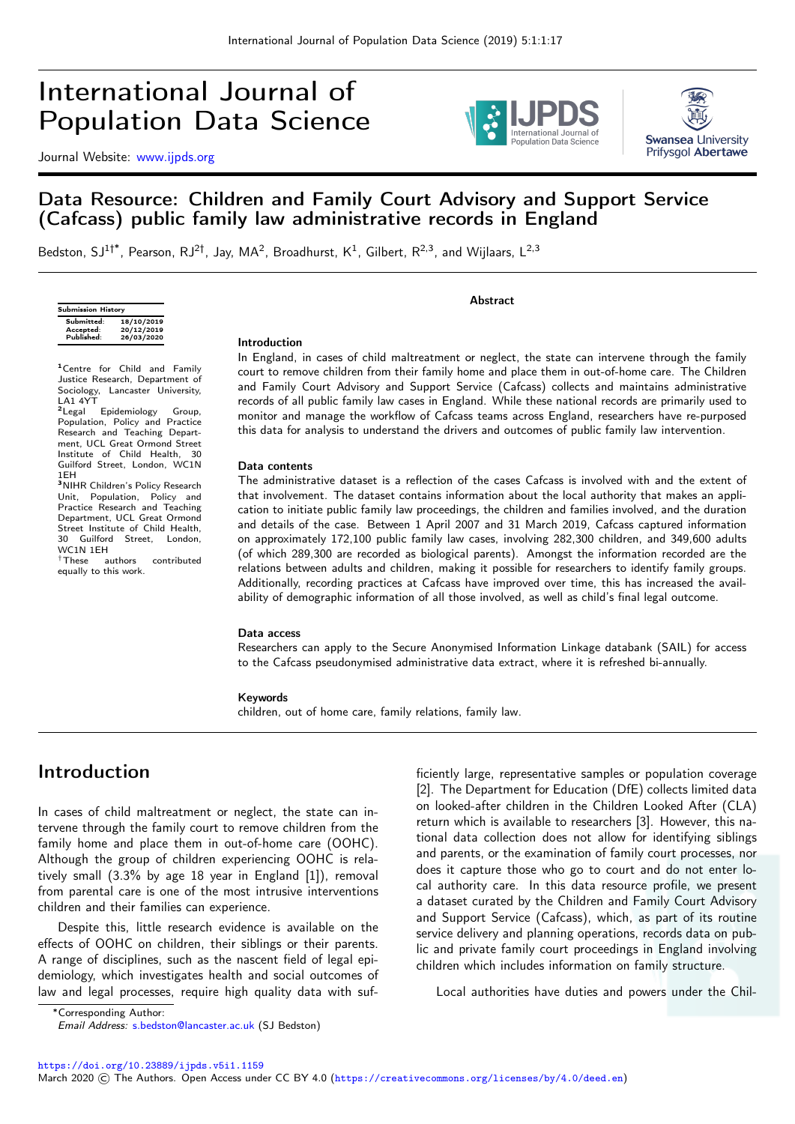# International Journal of Population Data Science

Journal Website: [www.ijpds.org](http://www.ijpds.org)





### Data Resource: Children and Family Court Advisory and Support Service (Cafcass) public family law administrative records in England

Bedston, SJ<sup>1†\*</sup>, Pearson, RJ<sup>2†</sup>, Jay, MA<sup>2</sup>, Broadhurst, K<sup>1</sup>, Gilbert, R<sup>2,3</sup>, and Wijlaars, L<sup>2,3</sup>

| <b>Submission History</b> |            |  |
|---------------------------|------------|--|
| Submitted:                | 18/10/2019 |  |
| Accepted:                 | 20/12/2019 |  |
| Published:                | 26/03/2020 |  |
|                           |            |  |

<sup>1</sup>Centre for Child and Family Justice Research, Department of Sociology, Lancaster University,

LA1 4YT<br><sup>2</sup>Legal Epidemiology Group, Population, Policy and Practice Research and Teaching Department. UCL Great Ormond Street Institute of Child Health, 30 Guilford Street, London, WC1N 1EH<br><sup>3</sup>NIHR Children's Policy Research

Unit, Population, Policy and Practice Research and Teaching Department, UCL Great Ormond Street Institute of Child Health,<br>30 Guilford Street. London. Guilford Street, WC1N 1EH †These authors contributed

equally to this work.

**Abstract** 

#### Introduction

In England, in cases of child maltreatment or neglect, the state can intervene through the family court to remove children from their family home and place them in out-of-home care. The Children and Family Court Advisory and Support Service (Cafcass) collects and maintains administrative records of all public family law cases in England. While these national records are primarily used to monitor and manage the workflow of Cafcass teams across England, researchers have re-purposed this data for analysis to understand the drivers and outcomes of public family law intervention.

#### Data contents

The administrative dataset is a reflection of the cases Cafcass is involved with and the extent of that involvement. The dataset contains information about the local authority that makes an application to initiate public family law proceedings, the children and families involved, and the duration and details of the case. Between 1 April 2007 and 31 March 2019, Cafcass captured information on approximately 172,100 public family law cases, involving 282,300 children, and 349,600 adults (of which 289,300 are recorded as biological parents). Amongst the information recorded are the relations between adults and children, making it possible for researchers to identify family groups. Additionally, recording practices at Cafcass have improved over time, this has increased the availability of demographic information of all those involved, as well as child's final legal outcome.

#### Data access

Researchers can apply to the Secure Anonymised Information Linkage databank (SAIL) for access to the Cafcass pseudonymised administrative data extract, where it is refreshed bi-annually.

#### Keywords

children, out of home care, family relations, family law.

## Introduction

In cases of child maltreatment or neglect, the state can intervene through the family court to remove children from the family home and place them in out-of-home care (OOHC). Although the group of children experiencing OOHC is relatively small (3.3% by age 18 year in England [1]), removal from parental care is one of the most intrusive interventions children and their families can experience.

Despite this, little research evidence is available on the effects of OOHC on children, their siblings or their parents. A range of disciplines, such as the nascent field of legal epidemiology, which investigates health and social outcomes of law and legal processes, require high quality data with sufficiently large, representative samples or population coverage [2]. The Department for Education (DfE) collects limited data on looked-after children in the Children Looked After (CLA) return which is available to researchers [3]. However, this national data collection does not allow for identifying siblings and parents, or the examination of family court processes, nor does it capture those who go to court and do not enter local authority care. In this data resource profile, we present a dataset curated by the Children and Family Court Advisory and Support Service (Cafcass), which, as part of its routine service delivery and planning operations, records data on public and private family court proceedings in England involving children which includes information on family structure.

Local authorities have duties and powers under the Chil-

<sup>∗</sup>Corresponding Author:

<https://doi.org/10.23889/ijpds.v5i1.1159>

Email Address: [s.bedston@lancaster.ac.uk](mailto:s.bedston@lancaster.ac.uk) (SJ Bedston)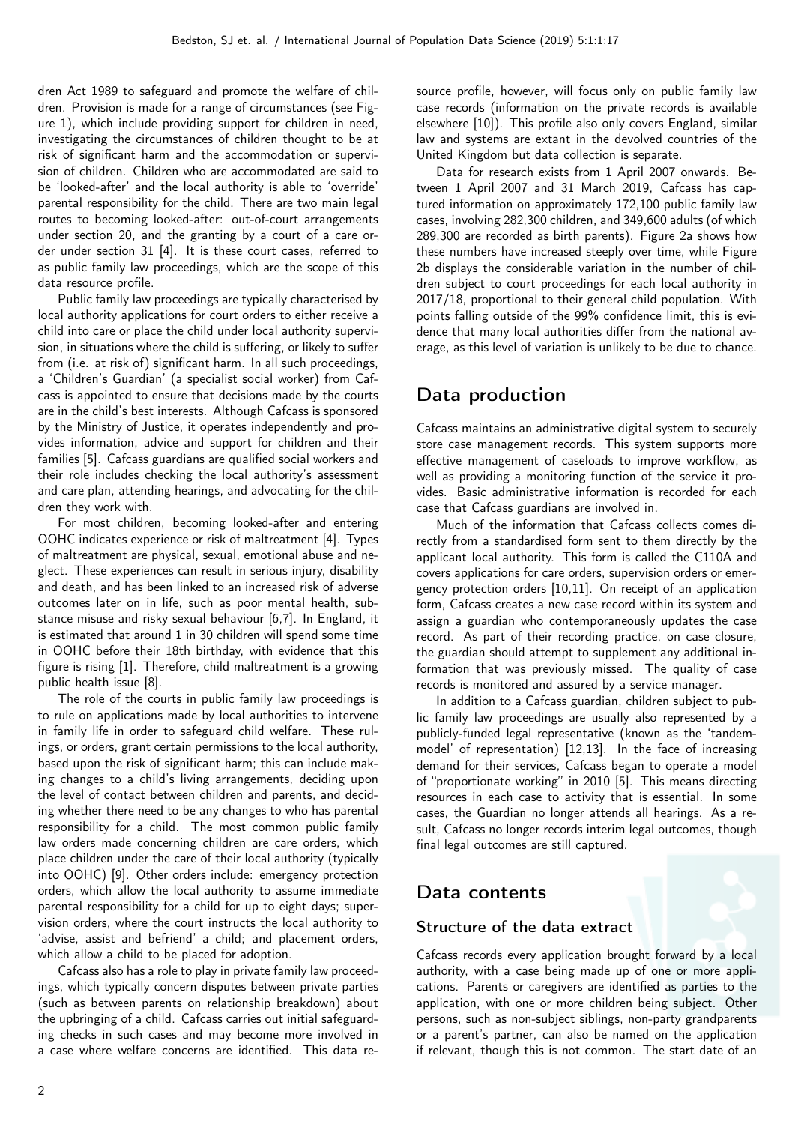dren Act 1989 to safeguard and promote the welfare of children. Provision is made for a range of circumstances (see Figure 1), which include providing support for children in need, investigating the circumstances of children thought to be at risk of significant harm and the accommodation or supervision of children. Children who are accommodated are said to be 'looked-after' and the local authority is able to 'override' parental responsibility for the child. There are two main legal routes to becoming looked-after: out-of-court arrangements under section 20, and the granting by a court of a care order under section 31 [4]. It is these court cases, referred to as public family law proceedings, which are the scope of this data resource profile.

Public family law proceedings are typically characterised by local authority applications for court orders to either receive a child into care or place the child under local authority supervision, in situations where the child is suffering, or likely to suffer from (i.e. at risk of) significant harm. In all such proceedings, a 'Children's Guardian' (a specialist social worker) from Cafcass is appointed to ensure that decisions made by the courts are in the child's best interests. Although Cafcass is sponsored by the Ministry of Justice, it operates independently and provides information, advice and support for children and their families [5]. Cafcass guardians are qualified social workers and their role includes checking the local authority's assessment and care plan, attending hearings, and advocating for the children they work with.

For most children, becoming looked-after and entering OOHC indicates experience or risk of maltreatment [4]. Types of maltreatment are physical, sexual, emotional abuse and neglect. These experiences can result in serious injury, disability and death, and has been linked to an increased risk of adverse outcomes later on in life, such as poor mental health, substance misuse and risky sexual behaviour [6,7]. In England, it is estimated that around 1 in 30 children will spend some time in OOHC before their 18th birthday, with evidence that this figure is rising [1]. Therefore, child maltreatment is a growing public health issue [8].

The role of the courts in public family law proceedings is to rule on applications made by local authorities to intervene in family life in order to safeguard child welfare. These rulings, or orders, grant certain permissions to the local authority, based upon the risk of significant harm; this can include making changes to a child's living arrangements, deciding upon the level of contact between children and parents, and deciding whether there need to be any changes to who has parental responsibility for a child. The most common public family law orders made concerning children are care orders, which place children under the care of their local authority (typically into OOHC) [9]. Other orders include: emergency protection orders, which allow the local authority to assume immediate parental responsibility for a child for up to eight days; supervision orders, where the court instructs the local authority to 'advise, assist and befriend' a child; and placement orders, which allow a child to be placed for adoption.

Cafcass also has a role to play in private family law proceedings, which typically concern disputes between private parties (such as between parents on relationship breakdown) about the upbringing of a child. Cafcass carries out initial safeguarding checks in such cases and may become more involved in a case where welfare concerns are identified. This data resource profile, however, will focus only on public family law case records (information on the private records is available elsewhere [10]). This profile also only covers England, similar law and systems are extant in the devolved countries of the United Kingdom but data collection is separate.

Data for research exists from 1 April 2007 onwards. Between 1 April 2007 and 31 March 2019, Cafcass has captured information on approximately 172,100 public family law cases, involving 282,300 children, and 349,600 adults (of which 289,300 are recorded as birth parents). Figure 2a shows how these numbers have increased steeply over time, while Figure 2b displays the considerable variation in the number of children subject to court proceedings for each local authority in 2017/18, proportional to their general child population. With points falling outside of the 99% confidence limit, this is evidence that many local authorities differ from the national average, as this level of variation is unlikely to be due to chance.

# Data production

Cafcass maintains an administrative digital system to securely store case management records. This system supports more effective management of caseloads to improve workflow, as well as providing a monitoring function of the service it provides. Basic administrative information is recorded for each case that Cafcass guardians are involved in.

Much of the information that Cafcass collects comes directly from a standardised form sent to them directly by the applicant local authority. This form is called the C110A and covers applications for care orders, supervision orders or emergency protection orders [10,11]. On receipt of an application form, Cafcass creates a new case record within its system and assign a guardian who contemporaneously updates the case record. As part of their recording practice, on case closure, the guardian should attempt to supplement any additional information that was previously missed. The quality of case records is monitored and assured by a service manager.

In addition to a Cafcass guardian, children subject to public family law proceedings are usually also represented by a publicly-funded legal representative (known as the 'tandemmodel' of representation) [12,13]. In the face of increasing demand for their services, Cafcass began to operate a model of "proportionate working" in 2010 [5]. This means directing resources in each case to activity that is essential. In some cases, the Guardian no longer attends all hearings. As a result, Cafcass no longer records interim legal outcomes, though final legal outcomes are still captured.

# Data contents

### Structure of the data extract

Cafcass records every application brought forward by a local authority, with a case being made up of one or more applications. Parents or caregivers are identified as parties to the application, with one or more children being subject. Other persons, such as non-subject siblings, non-party grandparents or a parent's partner, can also be named on the application if relevant, though this is not common. The start date of an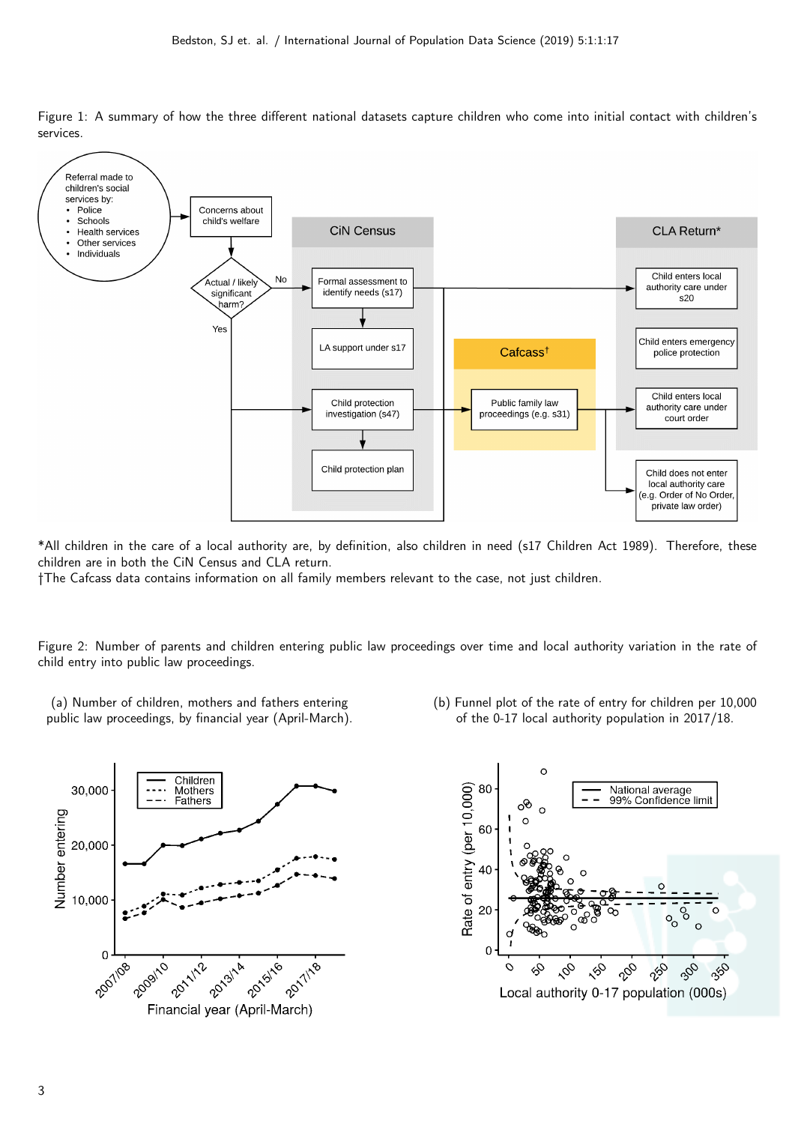

Figure 1: A summary of how the three different national datasets capture children who come into initial contact with children's services.

\*All children in the care of a local authority are, by definition, also children in need (s17 Children Act 1989). Therefore, these children are in both the CiN Census and CLA return.

†The Cafcass data contains information on all family members relevant to the case, not just children.

Figure 2: Number of parents and children entering public law proceedings over time and local authority variation in the rate of child entry into public law proceedings.

- (a) Number of children, mothers and fathers entering public law proceedings, by financial year (April-March).
- (b) Funnel plot of the rate of entry for children per 10,000 of the 0-17 local authority population in 2017/18.



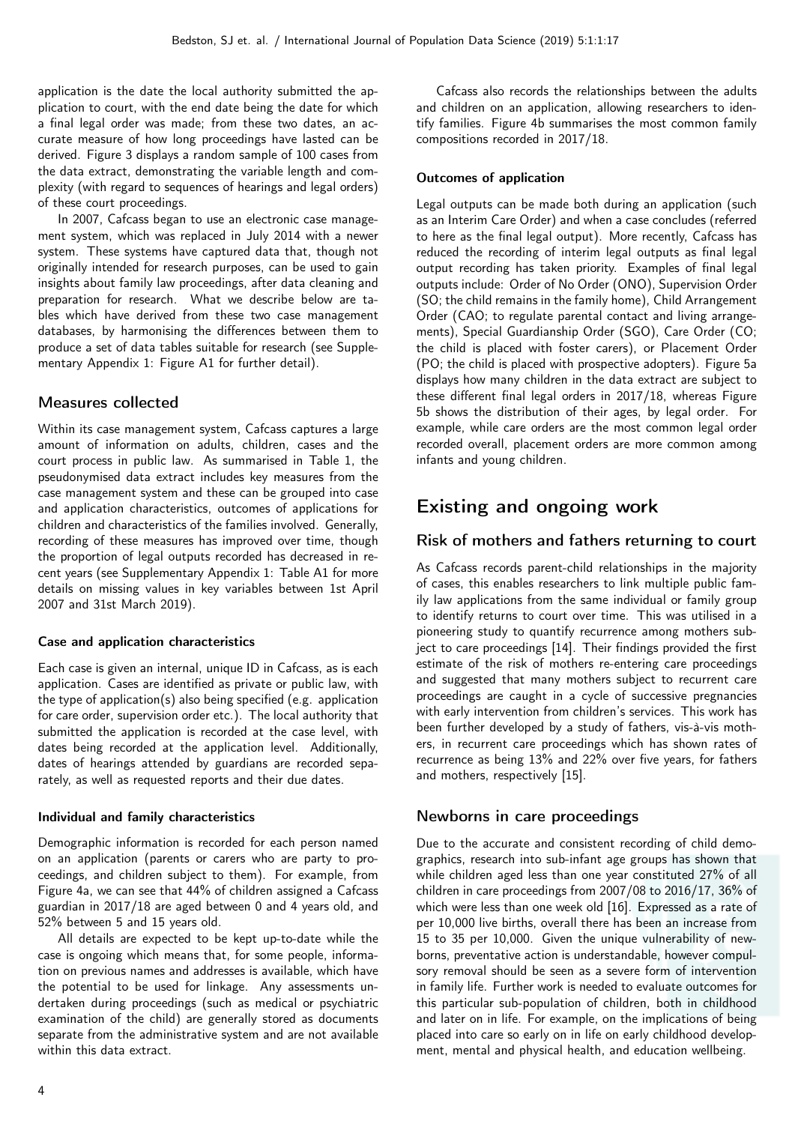application is the date the local authority submitted the application to court, with the end date being the date for which a final legal order was made; from these two dates, an accurate measure of how long proceedings have lasted can be derived. Figure 3 displays a random sample of 100 cases from the data extract, demonstrating the variable length and complexity (with regard to sequences of hearings and legal orders) of these court proceedings.

In 2007, Cafcass began to use an electronic case management system, which was replaced in July 2014 with a newer system. These systems have captured data that, though not originally intended for research purposes, can be used to gain insights about family law proceedings, after data cleaning and preparation for research. What we describe below are tables which have derived from these two case management databases, by harmonising the differences between them to produce a set of data tables suitable for research (see Supplementary Appendix 1: Figure A1 for further detail).

#### Measures collected

Within its case management system, Cafcass captures a large amount of information on adults, children, cases and the court process in public law. As summarised in Table 1, the pseudonymised data extract includes key measures from the case management system and these can be grouped into case and application characteristics, outcomes of applications for children and characteristics of the families involved. Generally, recording of these measures has improved over time, though the proportion of legal outputs recorded has decreased in recent years (see Supplementary Appendix 1: Table A1 for more details on missing values in key variables between 1st April 2007 and 31st March 2019).

#### Case and application characteristics

Each case is given an internal, unique ID in Cafcass, as is each application. Cases are identified as private or public law, with the type of application(s) also being specified (e.g. application for care order, supervision order etc.). The local authority that submitted the application is recorded at the case level, with dates being recorded at the application level. Additionally, dates of hearings attended by guardians are recorded separately, as well as requested reports and their due dates.

#### Individual and family characteristics

Demographic information is recorded for each person named on an application (parents or carers who are party to proceedings, and children subject to them). For example, from Figure 4a, we can see that 44% of children assigned a Cafcass guardian in 2017/18 are aged between 0 and 4 years old, and 52% between 5 and 15 years old.

All details are expected to be kept up-to-date while the case is ongoing which means that, for some people, information on previous names and addresses is available, which have the potential to be used for linkage. Any assessments undertaken during proceedings (such as medical or psychiatric examination of the child) are generally stored as documents separate from the administrative system and are not available within this data extract.

Cafcass also records the relationships between the adults and children on an application, allowing researchers to identify families. Figure 4b summarises the most common family compositions recorded in 2017/18.

#### Outcomes of application

Legal outputs can be made both during an application (such as an Interim Care Order) and when a case concludes (referred to here as the final legal output). More recently, Cafcass has reduced the recording of interim legal outputs as final legal output recording has taken priority. Examples of final legal outputs include: Order of No Order (ONO), Supervision Order (SO; the child remains in the family home), Child Arrangement Order (CAO; to regulate parental contact and living arrangements), Special Guardianship Order (SGO), Care Order (CO; the child is placed with foster carers), or Placement Order (PO; the child is placed with prospective adopters). Figure 5a displays how many children in the data extract are subject to these different final legal orders in 2017/18, whereas Figure 5b shows the distribution of their ages, by legal order. For example, while care orders are the most common legal order recorded overall, placement orders are more common among infants and young children.

# Existing and ongoing work

### Risk of mothers and fathers returning to court

As Cafcass records parent-child relationships in the majority of cases, this enables researchers to link multiple public family law applications from the same individual or family group to identify returns to court over time. This was utilised in a pioneering study to quantify recurrence among mothers subject to care proceedings [14]. Their findings provided the first estimate of the risk of mothers re-entering care proceedings and suggested that many mothers subject to recurrent care proceedings are caught in a cycle of successive pregnancies with early intervention from children's services. This work has been further developed by a study of fathers, vis-à-vis mothers, in recurrent care proceedings which has shown rates of recurrence as being 13% and 22% over five years, for fathers and mothers, respectively [15].

### Newborns in care proceedings

Due to the accurate and consistent recording of child demographics, research into sub-infant age groups has shown that while children aged less than one year constituted 27% of all children in care proceedings from 2007/08 to 2016/17, 36% of which were less than one week old [16]. Expressed as a rate of per 10,000 live births, overall there has been an increase from 15 to 35 per 10,000. Given the unique vulnerability of newborns, preventative action is understandable, however compulsory removal should be seen as a severe form of intervention in family life. Further work is needed to evaluate outcomes for this particular sub-population of children, both in childhood and later on in life. For example, on the implications of being placed into care so early on in life on early childhood development, mental and physical health, and education wellbeing.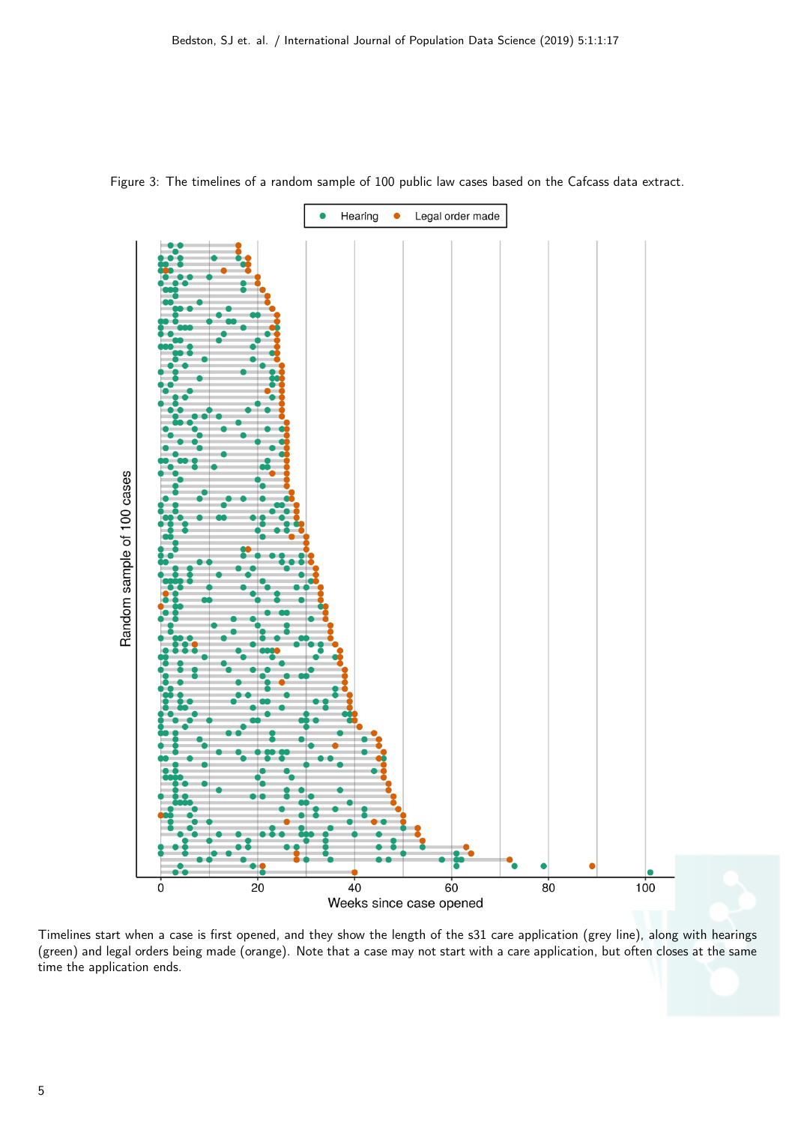

Figure 3: The timelines of a random sample of 100 public law cases based on the Cafcass data extract.

Timelines start when a case is first opened, and they show the length of the s31 care application (grey line), along with hearings (green) and legal orders being made (orange). Note that a case may not start with a care application, but often closes at the same time the application ends.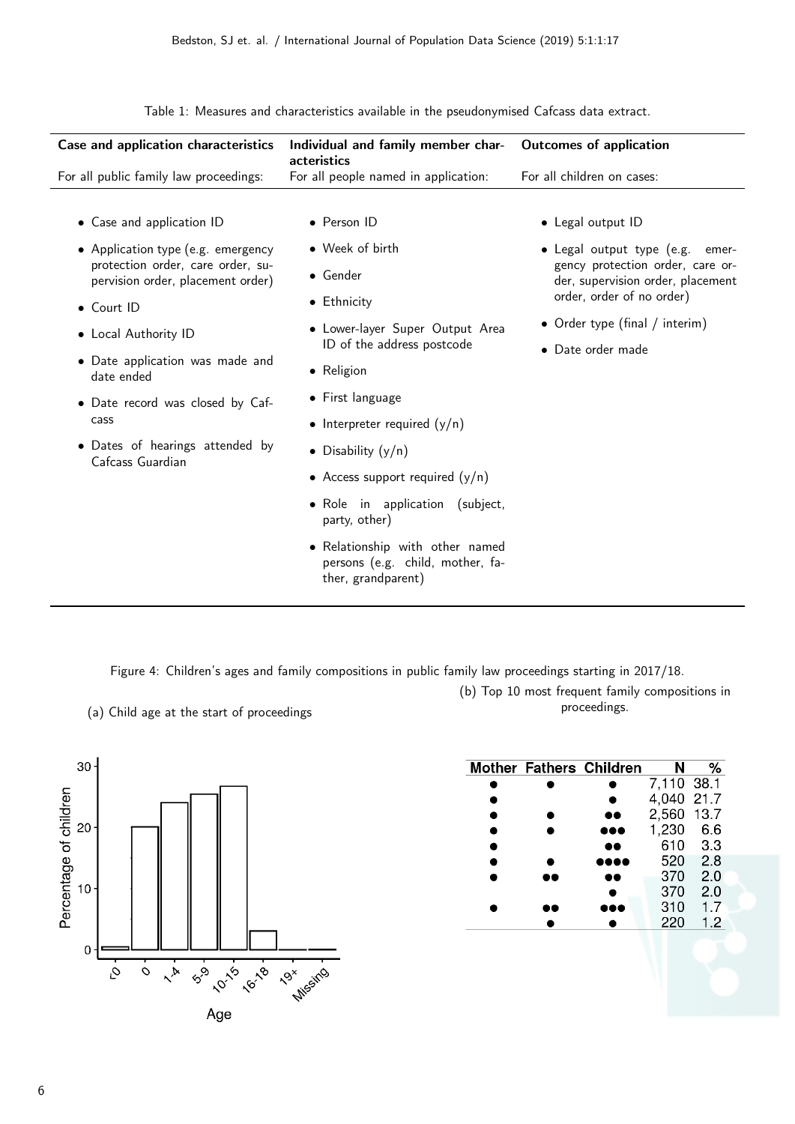Case and application characteristics Individual and family member characteristics Outcomes of application For all public family law proceedings: For all people named in application: For all children on cases: • Case and application ID • Application type (e.g. emergency protection order, care order, supervision order, placement order) • Court ID • Local Authority ID • Date application was made and date ended • Date record was closed by Cafcass • Dates of hearings attended by Cafcass Guardian • Person ID • Week of birth • Gender • Ethnicity • Lower-layer Super Output Area ID of the address postcode • Religion • First language • Interpreter required  $(y/n)$ • Disability (y/n) • Access support required  $(y/n)$ • Role in application (subject, party, other) • Relationship with other named persons (e.g. child, mother, fa-• Legal output ID • Legal output type (e.g. emergency protection order, care order, supervision order, placement order, order of no order) • Order type (final / interim) • Date order made

Table 1: Measures and characteristics available in the pseudonymised Cafcass data extract.

Figure 4: Children's ages and family compositions in public family law proceedings starting in 2017/18.

ther, grandparent)

(b) Top 10 most frequent family compositions in proceedings.



(a) Child age at the start of proceedings

|           | <b>Mother Fathers Children</b> | N          | ℅   |
|-----------|--------------------------------|------------|-----|
|           |                                | 7,110 38.1 |     |
|           |                                | 4,040 21.7 |     |
| ●         | $\bullet\bullet$               | 2,560 13.7 |     |
|           |                                | 1,230      | 6.6 |
| $\bullet$ |                                | 610        | 3.3 |
| ●         |                                | 520        | 2.8 |
|           | 68                             | 370        | 2.0 |
|           |                                | 370        | 2.0 |
|           |                                | 310        | 1.7 |
|           |                                | 220        | 1.2 |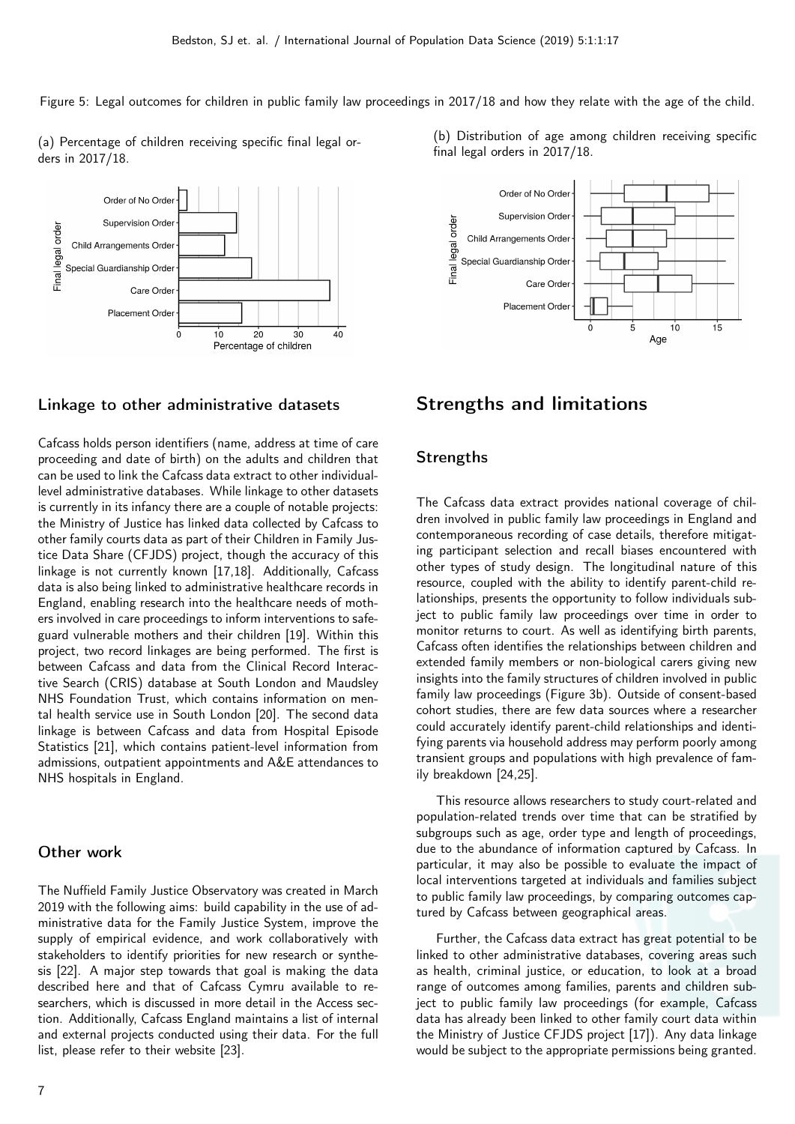Figure 5: Legal outcomes for children in public family law proceedings in 2017/18 and how they relate with the age of the child.

(a) Percentage of children receiving specific final legal orders in 2017/18.



#### Linkage to other administrative datasets

Cafcass holds person identifiers (name, address at time of care proceeding and date of birth) on the adults and children that can be used to link the Cafcass data extract to other individuallevel administrative databases. While linkage to other datasets is currently in its infancy there are a couple of notable projects: the Ministry of Justice has linked data collected by Cafcass to other family courts data as part of their Children in Family Justice Data Share (CFJDS) project, though the accuracy of this linkage is not currently known [17,18]. Additionally, Cafcass data is also being linked to administrative healthcare records in England, enabling research into the healthcare needs of mothers involved in care proceedings to inform interventions to safeguard vulnerable mothers and their children [19]. Within this project, two record linkages are being performed. The first is between Cafcass and data from the Clinical Record Interactive Search (CRIS) database at South London and Maudsley NHS Foundation Trust, which contains information on mental health service use in South London [20]. The second data linkage is between Cafcass and data from Hospital Episode Statistics [21], which contains patient-level information from admissions, outpatient appointments and A&E attendances to NHS hospitals in England.

#### Other work

The Nuffield Family Justice Observatory was created in March 2019 with the following aims: build capability in the use of administrative data for the Family Justice System, improve the supply of empirical evidence, and work collaboratively with stakeholders to identify priorities for new research or synthesis [22]. A major step towards that goal is making the data described here and that of Cafcass Cymru available to researchers, which is discussed in more detail in the Access section. Additionally, Cafcass England maintains a list of internal and external projects conducted using their data. For the full list, please refer to their website [23].

(b) Distribution of age among children receiving specific final legal orders in 2017/18.



### Strengths and limitations

#### **Strengths**

The Cafcass data extract provides national coverage of children involved in public family law proceedings in England and contemporaneous recording of case details, therefore mitigating participant selection and recall biases encountered with other types of study design. The longitudinal nature of this resource, coupled with the ability to identify parent-child relationships, presents the opportunity to follow individuals subject to public family law proceedings over time in order to monitor returns to court. As well as identifying birth parents, Cafcass often identifies the relationships between children and extended family members or non-biological carers giving new insights into the family structures of children involved in public family law proceedings (Figure 3b). Outside of consent-based cohort studies, there are few data sources where a researcher could accurately identify parent-child relationships and identifying parents via household address may perform poorly among transient groups and populations with high prevalence of family breakdown [24,25].

This resource allows researchers to study court-related and population-related trends over time that can be stratified by subgroups such as age, order type and length of proceedings, due to the abundance of information captured by Cafcass. In particular, it may also be possible to evaluate the impact of local interventions targeted at individuals and families subject to public family law proceedings, by comparing outcomes captured by Cafcass between geographical areas.

Further, the Cafcass data extract has great potential to be linked to other administrative databases, covering areas such as health, criminal justice, or education, to look at a broad range of outcomes among families, parents and children subject to public family law proceedings (for example, Cafcass data has already been linked to other family court data within the Ministry of Justice CFJDS project [17]). Any data linkage would be subject to the appropriate permissions being granted.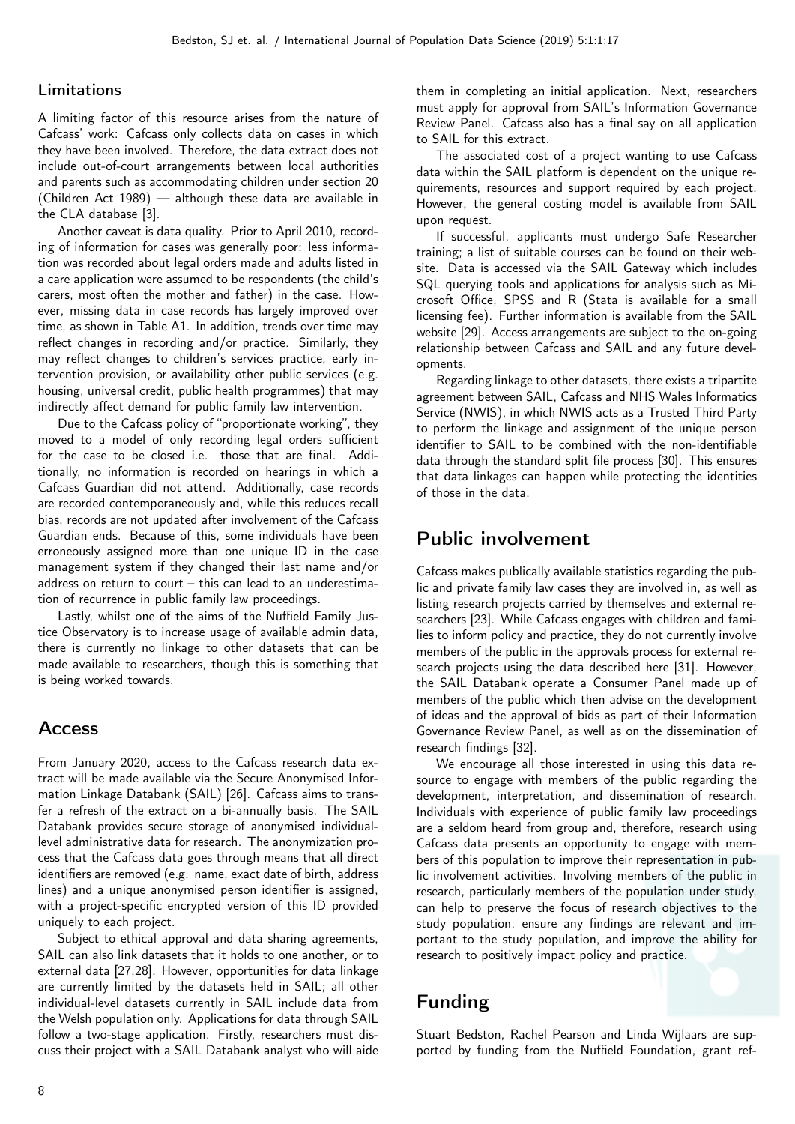#### Limitations

A limiting factor of this resource arises from the nature of Cafcass' work: Cafcass only collects data on cases in which they have been involved. Therefore, the data extract does not include out-of-court arrangements between local authorities and parents such as accommodating children under section 20 (Children Act 1989) — although these data are available in the CLA database [3].

Another caveat is data quality. Prior to April 2010, recording of information for cases was generally poor: less information was recorded about legal orders made and adults listed in a care application were assumed to be respondents (the child's carers, most often the mother and father) in the case. However, missing data in case records has largely improved over time, as shown in Table A1. In addition, trends over time may reflect changes in recording and/or practice. Similarly, they may reflect changes to children's services practice, early intervention provision, or availability other public services (e.g. housing, universal credit, public health programmes) that may indirectly affect demand for public family law intervention.

Due to the Cafcass policy of "proportionate working", they moved to a model of only recording legal orders sufficient for the case to be closed i.e. those that are final. Additionally, no information is recorded on hearings in which a Cafcass Guardian did not attend. Additionally, case records are recorded contemporaneously and, while this reduces recall bias, records are not updated after involvement of the Cafcass Guardian ends. Because of this, some individuals have been erroneously assigned more than one unique ID in the case management system if they changed their last name and/or address on return to court – this can lead to an underestimation of recurrence in public family law proceedings.

Lastly, whilst one of the aims of the Nuffield Family Justice Observatory is to increase usage of available admin data, there is currently no linkage to other datasets that can be made available to researchers, though this is something that is being worked towards.

### Access

From January 2020, access to the Cafcass research data extract will be made available via the Secure Anonymised Information Linkage Databank (SAIL) [26]. Cafcass aims to transfer a refresh of the extract on a bi-annually basis. The SAIL Databank provides secure storage of anonymised individuallevel administrative data for research. The anonymization process that the Cafcass data goes through means that all direct identifiers are removed (e.g. name, exact date of birth, address lines) and a unique anonymised person identifier is assigned, with a project-specific encrypted version of this ID provided uniquely to each project.

Subject to ethical approval and data sharing agreements, SAIL can also link datasets that it holds to one another, or to external data [27,28]. However, opportunities for data linkage are currently limited by the datasets held in SAIL; all other individual-level datasets currently in SAIL include data from the Welsh population only. Applications for data through SAIL follow a two-stage application. Firstly, researchers must discuss their project with a SAIL Databank analyst who will aide

them in completing an initial application. Next, researchers must apply for approval from SAIL's Information Governance Review Panel. Cafcass also has a final say on all application to SAIL for this extract.

The associated cost of a project wanting to use Cafcass data within the SAIL platform is dependent on the unique requirements, resources and support required by each project. However, the general costing model is available from SAIL upon request.

If successful, applicants must undergo Safe Researcher training; a list of suitable courses can be found on their website. Data is accessed via the SAIL Gateway which includes SQL querying tools and applications for analysis such as Microsoft Office, SPSS and R (Stata is available for a small licensing fee). Further information is available from the SAIL website [29]. Access arrangements are subject to the on-going relationship between Cafcass and SAIL and any future developments.

Regarding linkage to other datasets, there exists a tripartite agreement between SAIL, Cafcass and NHS Wales Informatics Service (NWIS), in which NWIS acts as a Trusted Third Party to perform the linkage and assignment of the unique person identifier to SAIL to be combined with the non-identifiable data through the standard split file process [30]. This ensures that data linkages can happen while protecting the identities of those in the data.

### Public involvement

Cafcass makes publically available statistics regarding the public and private family law cases they are involved in, as well as listing research projects carried by themselves and external researchers [23]. While Cafcass engages with children and families to inform policy and practice, they do not currently involve members of the public in the approvals process for external research projects using the data described here [31]. However, the SAIL Databank operate a Consumer Panel made up of members of the public which then advise on the development of ideas and the approval of bids as part of their Information Governance Review Panel, as well as on the dissemination of research findings [32].

We encourage all those interested in using this data resource to engage with members of the public regarding the development, interpretation, and dissemination of research. Individuals with experience of public family law proceedings are a seldom heard from group and, therefore, research using Cafcass data presents an opportunity to engage with members of this population to improve their representation in public involvement activities. Involving members of the public in research, particularly members of the population under study, can help to preserve the focus of research objectives to the study population, ensure any findings are relevant and important to the study population, and improve the ability for research to positively impact policy and practice.

# Funding

Stuart Bedston, Rachel Pearson and Linda Wijlaars are supported by funding from the Nuffield Foundation, grant ref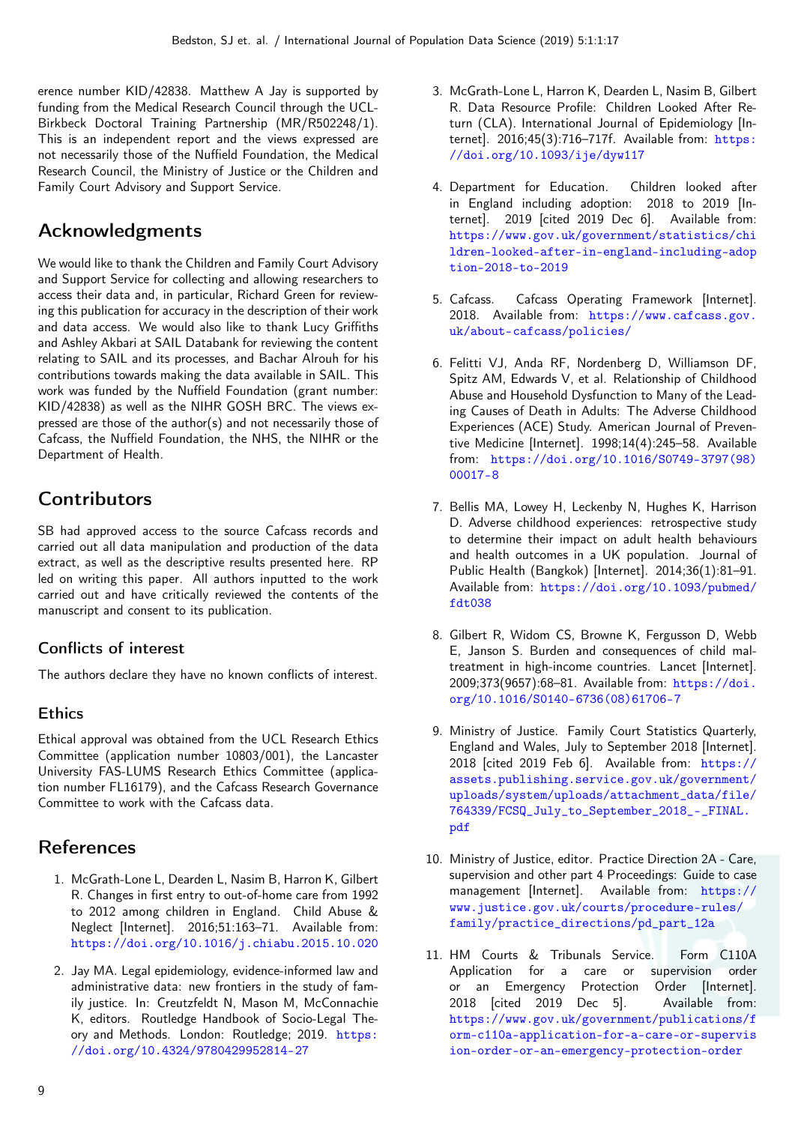erence number KID/42838. Matthew A Jay is supported by funding from the Medical Research Council through the UCL-Birkbeck Doctoral Training Partnership (MR/R502248/1). This is an independent report and the views expressed are not necessarily those of the Nuffield Foundation, the Medical Research Council, the Ministry of Justice or the Children and Family Court Advisory and Support Service.

# Acknowledgments

We would like to thank the Children and Family Court Advisory and Support Service for collecting and allowing researchers to access their data and, in particular, Richard Green for reviewing this publication for accuracy in the description of their work and data access. We would also like to thank Lucy Griffiths and Ashley Akbari at SAIL Databank for reviewing the content relating to SAIL and its processes, and Bachar Alrouh for his contributions towards making the data available in SAIL. This work was funded by the Nuffield Foundation (grant number: KID/42838) as well as the NIHR GOSH BRC. The views expressed are those of the author(s) and not necessarily those of Cafcass, the Nuffield Foundation, the NHS, the NIHR or the Department of Health.

# **Contributors**

SB had approved access to the source Cafcass records and carried out all data manipulation and production of the data extract, as well as the descriptive results presented here. RP led on writing this paper. All authors inputted to the work carried out and have critically reviewed the contents of the manuscript and consent to its publication.

### Conflicts of interest

The authors declare they have no known conflicts of interest.

### **Ethics**

Ethical approval was obtained from the UCL Research Ethics Committee (application number 10803/001), the Lancaster University FAS-LUMS Research Ethics Committee (application number FL16179), and the Cafcass Research Governance Committee to work with the Cafcass data.

## References

- 1. McGrath-Lone L, Dearden L, Nasim B, Harron K, Gilbert R. Changes in first entry to out-of-home care from 1992 to 2012 among children in England. Child Abuse & Neglect [Internet]. 2016;51:163–71. Available from: <https://doi.org/10.1016/j.chiabu.2015.10.020>
- 2. Jay MA. Legal epidemiology, evidence-informed law and administrative data: new frontiers in the study of family justice. In: Creutzfeldt N, Mason M, McConnachie K, editors. Routledge Handbook of Socio-Legal Theory and Methods. London: Routledge; 2019. [https:](https://doi.org/10.4324/9780429952814-27) [//doi.org/10.4324/9780429952814-27](https://doi.org/10.4324/9780429952814-27)
- 3. McGrath-Lone L, Harron K, Dearden L, Nasim B, Gilbert R. Data Resource Profile: Children Looked After Return (CLA). International Journal of Epidemiology [Internet]. 2016;45(3):716-717f. Available from: [https:](https://doi.org/10.1093/ije/dyw117) [//doi.org/10.1093/ije/dyw117](https://doi.org/10.1093/ije/dyw117)
- 4. Department for Education. Children looked after in England including adoption: 2018 to 2019 [Internet]. 2019 [cited 2019 Dec 6]. Available from: [https://www.gov.uk/government/statistics/chi](https://www.gov.uk/government/statistics/children-looked-after-in-england-including-adoption-2018-to-2019) [ldren-looked-after-in-england-including-adop](https://www.gov.uk/government/statistics/children-looked-after-in-england-including-adoption-2018-to-2019) [tion-2018-to-2019](https://www.gov.uk/government/statistics/children-looked-after-in-england-including-adoption-2018-to-2019)
- 5. Cafcass. Cafcass Operating Framework [Internet]. 2018. Available from: [https://www.cafcass.gov.](https://www.cafcass.gov.uk/about-cafcass/policies/) [uk/about-cafcass/policies/](https://www.cafcass.gov.uk/about-cafcass/policies/)
- 6. Felitti VJ, Anda RF, Nordenberg D, Williamson DF, Spitz AM, Edwards V, et al. Relationship of Childhood Abuse and Household Dysfunction to Many of the Leading Causes of Death in Adults: The Adverse Childhood Experiences (ACE) Study. American Journal of Preventive Medicine [Internet]. 1998;14(4):245–58. Available from: [https://doi.org/10.1016/S0749-3797\(98\)](https://doi.org/10.1016/S0749-3797(98)00017-8) [00017-8](https://doi.org/10.1016/S0749-3797(98)00017-8)
- 7. Bellis MA, Lowey H, Leckenby N, Hughes K, Harrison D. Adverse childhood experiences: retrospective study to determine their impact on adult health behaviours and health outcomes in a UK population. Journal of Public Health (Bangkok) [Internet]. 2014;36(1):81–91. Available from: [https://doi.org/10.1093/pubmed/](https://doi.org/10.1093/pubmed/fdt038) [fdt038](https://doi.org/10.1093/pubmed/fdt038)
- 8. Gilbert R, Widom CS, Browne K, Fergusson D, Webb E, Janson S. Burden and consequences of child maltreatment in high-income countries. Lancet [Internet]. 2009;373(9657):68–81. Available from: [https://doi.](https://doi.org/10.1016/S0140-6736(08)61706-7) [org/10.1016/S0140-6736\(08\)61706-7](https://doi.org/10.1016/S0140-6736(08)61706-7)
- 9. Ministry of Justice. Family Court Statistics Quarterly, England and Wales, July to September 2018 [Internet]. 2018 [cited 2019 Feb 6]. Available from: [https://](https://assets.publishing.service.gov.uk/government/uploads/system/uploads/attachment_data/file/764339/FCSQ_July_to_September_2018_-_FINAL.pdf) [assets.publishing.service.gov.uk/government/](https://assets.publishing.service.gov.uk/government/uploads/system/uploads/attachment_data/file/764339/FCSQ_July_to_September_2018_-_FINAL.pdf) [uploads/system/uploads/attachment\\_data/file/](https://assets.publishing.service.gov.uk/government/uploads/system/uploads/attachment_data/file/764339/FCSQ_July_to_September_2018_-_FINAL.pdf) [764339/FCSQ\\_July\\_to\\_September\\_2018\\_-\\_FINAL.](https://assets.publishing.service.gov.uk/government/uploads/system/uploads/attachment_data/file/764339/FCSQ_July_to_September_2018_-_FINAL.pdf) [pdf](https://assets.publishing.service.gov.uk/government/uploads/system/uploads/attachment_data/file/764339/FCSQ_July_to_September_2018_-_FINAL.pdf)
- 10. Ministry of Justice, editor. Practice Direction 2A Care, supervision and other part 4 Proceedings: Guide to case management [Internet]. Available from: [https://](https://www.justice.gov.uk/courts/procedure-rules/family/practice_directions/pd_part_12a) [www.justice.gov.uk/courts/procedure-rules/](https://www.justice.gov.uk/courts/procedure-rules/family/practice_directions/pd_part_12a) [family/practice\\_directions/pd\\_part\\_12a](https://www.justice.gov.uk/courts/procedure-rules/family/practice_directions/pd_part_12a)
- 11. HM Courts & Tribunals Service. Form C110A Application for a care or supervision order or an Emergency Protection Order [Internet]. 2018 **[cited 2019 Dec 5]**. Available from: [https://www.gov.uk/government/publications/f](https://www.gov.uk/government/publications/form-c110a-application-for-a-care-or-supervision-order-or-an-emergency-protection-order) [orm-c110a-application-for-a-care-or-supervis](https://www.gov.uk/government/publications/form-c110a-application-for-a-care-or-supervision-order-or-an-emergency-protection-order) [ion-order-or-an-emergency-protection-order](https://www.gov.uk/government/publications/form-c110a-application-for-a-care-or-supervision-order-or-an-emergency-protection-order)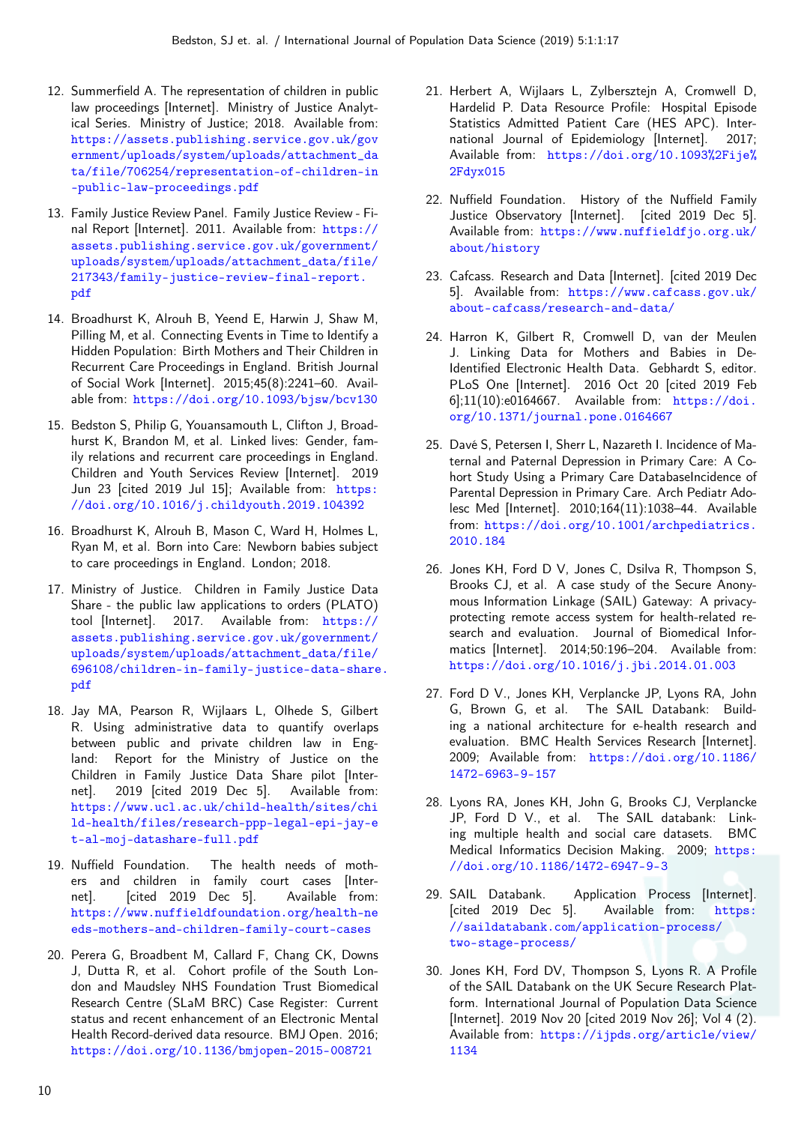- 12. Summerfield A. The representation of children in public law proceedings [Internet]. Ministry of Justice Analytical Series. Ministry of Justice; 2018. Available from: [https://assets.publishing.service.gov.uk/gov](https://assets.publishing.service.gov.uk/government/uploads/system/uploads/attachment_data/file/706254/representation-of-children-in-public-law-proceedings.pdf) [ernment/uploads/system/uploads/attachment\\_da](https://assets.publishing.service.gov.uk/government/uploads/system/uploads/attachment_data/file/706254/representation-of-children-in-public-law-proceedings.pdf) [ta/file/706254/representation-of-children-in](https://assets.publishing.service.gov.uk/government/uploads/system/uploads/attachment_data/file/706254/representation-of-children-in-public-law-proceedings.pdf) [-public-law-proceedings.pdf](https://assets.publishing.service.gov.uk/government/uploads/system/uploads/attachment_data/file/706254/representation-of-children-in-public-law-proceedings.pdf)
- 13. Family Justice Review Panel. Family Justice Review Final Report [Internet]. 2011. Available from: [https://](https://assets.publishing.service.gov.uk/government/uploads/system/uploads/attachment_data/file/217343/family-justice-review-final-report.pdf) [assets.publishing.service.gov.uk/government/](https://assets.publishing.service.gov.uk/government/uploads/system/uploads/attachment_data/file/217343/family-justice-review-final-report.pdf) [uploads/system/uploads/attachment\\_data/file/](https://assets.publishing.service.gov.uk/government/uploads/system/uploads/attachment_data/file/217343/family-justice-review-final-report.pdf) [217343/family-justice-review-final-report.](https://assets.publishing.service.gov.uk/government/uploads/system/uploads/attachment_data/file/217343/family-justice-review-final-report.pdf) [pdf](https://assets.publishing.service.gov.uk/government/uploads/system/uploads/attachment_data/file/217343/family-justice-review-final-report.pdf)
- 14. Broadhurst K, Alrouh B, Yeend E, Harwin J, Shaw M, Pilling M, et al. Connecting Events in Time to Identify a Hidden Population: Birth Mothers and Their Children in Recurrent Care Proceedings in England. British Journal of Social Work [Internet]. 2015;45(8):2241–60. Available from: <https://doi.org/10.1093/bjsw/bcv130>
- 15. Bedston S, Philip G, Youansamouth L, Clifton J, Broadhurst K, Brandon M, et al. Linked lives: Gender, family relations and recurrent care proceedings in England. Children and Youth Services Review [Internet]. 2019 Jun 23 [cited 2019 Jul 15]; Available from: [https:](https://doi.org/10.1016/j.childyouth.2019.104392) [//doi.org/10.1016/j.childyouth.2019.104392](https://doi.org/10.1016/j.childyouth.2019.104392)
- 16. Broadhurst K, Alrouh B, Mason C, Ward H, Holmes L, Ryan M, et al. Born into Care: Newborn babies subject to care proceedings in England. London; 2018.
- 17. Ministry of Justice. Children in Family Justice Data Share - the public law applications to orders (PLATO) tool [Internet]. 2017. Available from: [https://](https://assets.publishing.service.gov.uk/government/uploads/system/uploads/attachment_data/file/696108/children-in-family-justice-data-share.pdf) [assets.publishing.service.gov.uk/government/](https://assets.publishing.service.gov.uk/government/uploads/system/uploads/attachment_data/file/696108/children-in-family-justice-data-share.pdf) [uploads/system/uploads/attachment\\_data/file/](https://assets.publishing.service.gov.uk/government/uploads/system/uploads/attachment_data/file/696108/children-in-family-justice-data-share.pdf) [696108/children-in-family-justice-data-share](https://assets.publishing.service.gov.uk/government/uploads/system/uploads/attachment_data/file/696108/children-in-family-justice-data-share.pdf). [pdf](https://assets.publishing.service.gov.uk/government/uploads/system/uploads/attachment_data/file/696108/children-in-family-justice-data-share.pdf)
- 18. Jay MA, Pearson R, Wijlaars L, Olhede S, Gilbert R. Using administrative data to quantify overlaps between public and private children law in England: Report for the Ministry of Justice on the Children in Family Justice Data Share pilot [Internet]. 2019 [cited 2019 Dec 5]. Available from: [https://www.ucl.ac.uk/child-health/sites/chi](https://www.ucl.ac.uk/child-health/sites/child-health/files/research-ppp-legal-epi-jay-et-al-moj-datashare-full.pdf) [ld-health/files/research-ppp-legal-epi-jay-e](https://www.ucl.ac.uk/child-health/sites/child-health/files/research-ppp-legal-epi-jay-et-al-moj-datashare-full.pdf) [t-al-moj-datashare-full.pdf](https://www.ucl.ac.uk/child-health/sites/child-health/files/research-ppp-legal-epi-jay-et-al-moj-datashare-full.pdf)
- 19. Nuffield Foundation. The health needs of mothers and children in family court cases [Internet]. [cited 2019 Dec 5]. Available from: [https://www.nuffieldfoundation.org/health-ne](https://www.nuffieldfoundation.org/health-needs-mothers-and-children-family-court-cases) [eds-mothers-and-children-family-court-cases](https://www.nuffieldfoundation.org/health-needs-mothers-and-children-family-court-cases)
- 20. Perera G, Broadbent M, Callard F, Chang CK, Downs J, Dutta R, et al. Cohort profile of the South London and Maudsley NHS Foundation Trust Biomedical Research Centre (SLaM BRC) Case Register: Current status and recent enhancement of an Electronic Mental Health Record-derived data resource. BMJ Open. 2016; <https://doi.org/10.1136/bmjopen-2015-008721>
- 21. Herbert A, Wijlaars L, Zylbersztejn A, Cromwell D, Hardelid P. Data Resource Profile: Hospital Episode Statistics Admitted Patient Care (HES APC). International Journal of Epidemiology [Internet]. 2017; Available from: [https://doi.org/10.1093%2Fije%](https://doi.org/10.1093%2Fije%2Fdyx015) [2Fdyx015](https://doi.org/10.1093%2Fije%2Fdyx015)
- 22. Nuffield Foundation. History of the Nuffield Family Justice Observatory [Internet]. [cited 2019 Dec 5]. Available from: [https://www.nuffieldfjo.org.uk/](https://www.nuffieldfjo.org.uk/about/history) [about/history](https://www.nuffieldfjo.org.uk/about/history)
- 23. Cafcass. Research and Data [Internet]. [cited 2019 Dec 5]. Available from: [https://www.cafcass.gov.uk/](https://www.cafcass.gov.uk/about-cafcass/research-and-data/) [about-cafcass/research-and-data/](https://www.cafcass.gov.uk/about-cafcass/research-and-data/)
- 24. Harron K, Gilbert R, Cromwell D, van der Meulen J. Linking Data for Mothers and Babies in De-Identified Electronic Health Data. Gebhardt S, editor. PLoS One [Internet]. 2016 Oct 20 [cited 2019 Feb 6];11(10):e0164667. Available from: [https://doi.](https://doi.org/10.1371/journal.pone.0164667) [org/10.1371/journal.pone.0164667](https://doi.org/10.1371/journal.pone.0164667)
- 25. Davé S, Petersen I, Sherr L, Nazareth I. Incidence of Maternal and Paternal Depression in Primary Care: A Cohort Study Using a Primary Care DatabaseIncidence of Parental Depression in Primary Care. Arch Pediatr Adolesc Med [Internet]. 2010;164(11):1038–44. Available from: [https://doi.org/10.1001/archpediatrics.](https://doi.org/10.1001/archpediatrics.2010.184) [2010.184](https://doi.org/10.1001/archpediatrics.2010.184)
- 26. Jones KH, Ford D V, Jones C, Dsilva R, Thompson S, Brooks CJ, et al. A case study of the Secure Anonymous Information Linkage (SAIL) Gateway: A privacyprotecting remote access system for health-related research and evaluation. Journal of Biomedical Informatics [Internet]. 2014;50:196–204. Available from: <https://doi.org/10.1016/j.jbi.2014.01.003>
- 27. Ford D V., Jones KH, Verplancke JP, Lyons RA, John G, Brown G, et al. The SAIL Databank: Building a national architecture for e-health research and evaluation. BMC Health Services Research [Internet]. 2009; Available from: [https://doi.org/10.1186/](https://doi.org/10.1186/1472-6963-9-157) [1472-6963-9-157](https://doi.org/10.1186/1472-6963-9-157)
- 28. Lyons RA, Jones KH, John G, Brooks CJ, Verplancke JP, Ford D V., et al. The SAIL databank: Linking multiple health and social care datasets. BMC Medical Informatics Decision Making. 2009; [https:](https://doi.org/10.1186/1472-6947-9-3) [//doi.org/10.1186/1472-6947-9-3](https://doi.org/10.1186/1472-6947-9-3)
- 29. SAIL Databank. Application Process [Internet]. [cited 2019 Dec 5]. Available from: [https:](https://saildatabank.com/application-process/two-stage-process/) [//saildatabank.com/application-process/](https://saildatabank.com/application-process/two-stage-process/) [two-stage-process/](https://saildatabank.com/application-process/two-stage-process/)
- 30. Jones KH, Ford DV, Thompson S, Lyons R. A Profile of the SAIL Databank on the UK Secure Research Platform. International Journal of Population Data Science [Internet]. 2019 Nov 20 [cited 2019 Nov 26]; Vol 4 (2). Available from: [https://ijpds.org/article/view/](https://ijpds.org/article/view/1134) [1134](https://ijpds.org/article/view/1134)